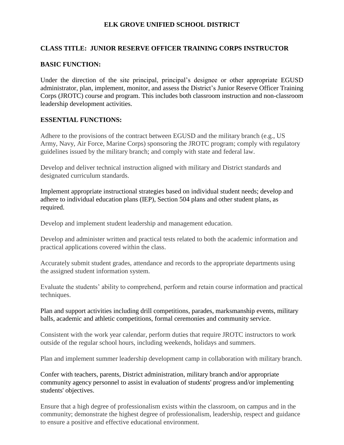### **ELK GROVE UNIFIED SCHOOL DISTRICT**

### **CLASS TITLE: JUNIOR RESERVE OFFICER TRAINING CORPS INSTRUCTOR**

#### **BASIC FUNCTION:**

Under the direction of the site principal, principal's designee or other appropriate EGUSD administrator, plan, implement, monitor, and assess the District's Junior Reserve Officer Training Corps (JROTC) course and program. This includes both classroom instruction and non-classroom leadership development activities.

#### **ESSENTIAL FUNCTIONS:**

Adhere to the provisions of the contract between EGUSD and the military branch (e.g., US Army, Navy, Air Force, Marine Corps) sponsoring the JROTC program; comply with regulatory guidelines issued by the military branch; and comply with state and federal law.

Develop and deliver technical instruction aligned with military and District standards and designated curriculum standards.

Implement appropriate instructional strategies based on individual student needs; develop and adhere to individual education plans (IEP), Section 504 plans and other student plans, as required.

Develop and implement student leadership and management education.

Develop and administer written and practical tests related to both the academic information and practical applications covered within the class.

Accurately submit student grades, attendance and records to the appropriate departments using the assigned student information system.

Evaluate the students' ability to comprehend, perform and retain course information and practical techniques.

Plan and support activities including drill competitions, parades, marksmanship events, military balls, academic and athletic competitions, formal ceremonies and community service.

Consistent with the work year calendar, perform duties that require JROTC instructors to work outside of the regular school hours, including weekends, holidays and summers.

Plan and implement summer leadership development camp in collaboration with military branch.

Confer with teachers, parents, District administration, military branch and/or appropriate community agency personnel to assist in evaluation of students' progress and/or implementing students' objectives.

Ensure that a high degree of professionalism exists within the classroom, on campus and in the community; demonstrate the highest degree of professionalism, leadership, respect and guidance to ensure a positive and effective educational environment.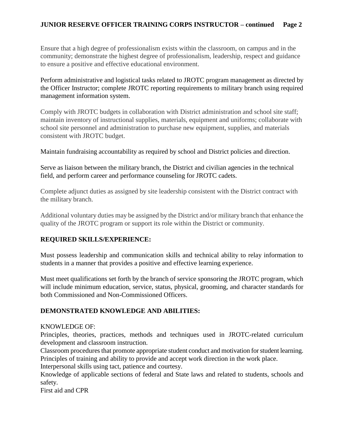## **JUNIOR RESERVE OFFICER TRAINING CORPS INSTRUCTOR – continued Page 2**

Ensure that a high degree of professionalism exists within the classroom, on campus and in the community; demonstrate the highest degree of professionalism, leadership, respect and guidance to ensure a positive and effective educational environment.

Perform administrative and logistical tasks related to JROTC program management as directed by the Officer Instructor; complete JROTC reporting requirements to military branch using required management information system.

Comply with JROTC budgets in collaboration with District administration and school site staff; maintain inventory of instructional supplies, materials, equipment and uniforms; collaborate with school site personnel and administration to purchase new equipment, supplies, and materials consistent with JROTC budget.

Maintain fundraising accountability as required by school and District policies and direction.

Serve as liaison between the military branch, the District and civilian agencies in the technical field, and perform career and performance counseling for JROTC cadets.

Complete adjunct duties as assigned by site leadership consistent with the District contract with the military branch.

Additional voluntary duties may be assigned by the District and/or military branch that enhance the quality of the JROTC program or support its role within the District or community.

### **REQUIRED SKILLS/EXPERIENCE:**

Must possess leadership and communication skills and technical ability to relay information to students in a manner that provides a positive and effective learning experience.

Must meet qualifications set forth by the branch of service sponsoring the JROTC program, which will include minimum education, service, status, physical, grooming, and character standards for both Commissioned and Non-Commissioned Officers.

### **DEMONSTRATED KNOWLEDGE AND ABILITIES:**

#### KNOWLEDGE OF:

Principles, theories, practices, methods and techniques used in JROTC-related curriculum development and classroom instruction.

Classroom procedures that promote appropriate student conduct and motivation for student learning. Principles of training and ability to provide and accept work direction in the work place.

Interpersonal skills using tact, patience and courtesy.

Knowledge of applicable sections of federal and State laws and related to students, schools and safety.

First aid and CPR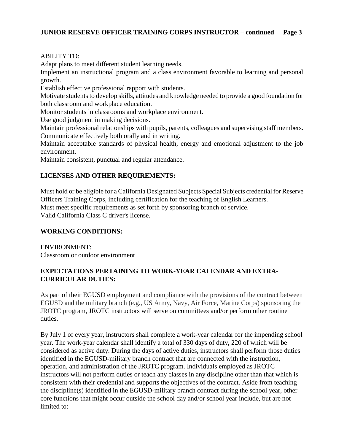## ABILITY TO:

Adapt plans to meet different student learning needs.

Implement an instructional program and a class environment favorable to learning and personal growth.

Establish effective professional rapport with students.

Motivate students to develop skills, attitudes and knowledge needed to provide a good foundation for both classroom and workplace education.

Monitor students in classrooms and workplace environment.

Use good judgment in making decisions.

Maintain professional relationships with pupils, parents, colleagues and supervising staff members. Communicate effectively both orally and in writing.

Maintain acceptable standards of physical health, energy and emotional adjustment to the job environment.

Maintain consistent, punctual and regular attendance.

# **LICENSES AND OTHER REQUIREMENTS:**

Must hold or be eligible for a California Designated Subjects Special Subjects credential for Reserve Officers Training Corps, including certification for the teaching of English Learners. Must meet specific requirements as set forth by sponsoring branch of service. Valid California Class C driver's license.

### **WORKING CONDITIONS:**

ENVIRONMENT: Classroom or outdoor environment

### **EXPECTATIONS PERTAINING TO WORK-YEAR CALENDAR AND EXTRA-CURRICULAR DUTIES:**

As part of their EGUSD employment and compliance with the provisions of the contract between EGUSD and the military branch (e.g., US Army, Navy, Air Force, Marine Corps) sponsoring the JROTC program, JROTC instructors will serve on committees and/or perform other routine duties.

By July 1 of every year, instructors shall complete a work-year calendar for the impending school year. The work-year calendar shall identify a total of 330 days of duty, 220 of which will be considered as active duty. During the days of active duties, instructors shall perform those duties identified in the EGUSD-military branch contract that are connected with the instruction, operation, and administration of the JROTC program. Individuals employed as JROTC instructors will not perform duties or teach any classes in any discipline other than that which is consistent with their credential and supports the objectives of the contract. Aside from teaching the discipline(s) identified in the EGUSD-military branch contract during the school year, other core functions that might occur outside the school day and/or school year include, but are not limited to: